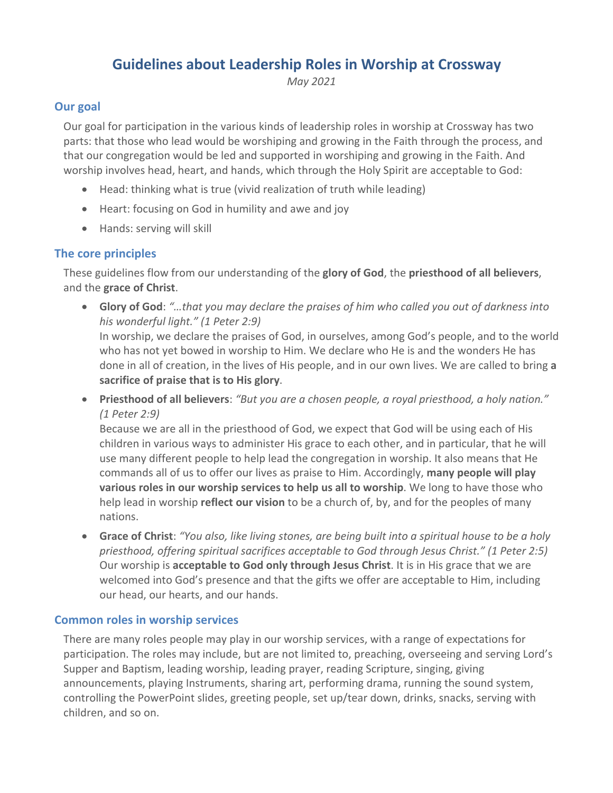# **Guidelines about Leadership Roles in Worship at Crossway**

*May 2021*

## **Our goal**

Our goal for participation in the various kinds of leadership roles in worship at Crossway has two parts: that those who lead would be worshiping and growing in the Faith through the process, and that our congregation would be led and supported in worshiping and growing in the Faith. And worship involves head, heart, and hands, which through the Holy Spirit are acceptable to God:

- Head: thinking what is true (vivid realization of truth while leading)
- Heart: focusing on God in humility and awe and joy
- Hands: serving will skill

## **The core principles**

These guidelines flow from our understanding of the **glory of God**, the **priesthood of all believers**, and the **grace of Christ**.

• **Glory of God**: *"…that you may declare the praises of him who called you out of darkness into his wonderful light." (1 Peter 2:9)*

In worship, we declare the praises of God, in ourselves, among God's people, and to the world who has not yet bowed in worship to Him. We declare who He is and the wonders He has done in all of creation, in the lives of His people, and in our own lives. We are called to bring **a sacrifice of praise that is to His glory**.

• **Priesthood of all believers**: *"But you are a chosen people, a royal priesthood, a holy nation." (1 Peter 2:9)*

Because we are all in the priesthood of God, we expect that God will be using each of His children in various ways to administer His grace to each other, and in particular, that he will use many different people to help lead the congregation in worship. It also means that He commands all of us to offer our lives as praise to Him. Accordingly, **many people will play various roles in our worship services to help us all to worship**. We long to have those who help lead in worship **reflect our vision** to be a church of, by, and for the peoples of many nations.

• **Grace of Christ**: *"You also, like living stones, are being built into a spiritual house to be a holy priesthood, offering spiritual sacrifices acceptable to God through Jesus Christ." (1 Peter 2:5)* Our worship is **acceptable to God only through Jesus Christ**. It is in His grace that we are welcomed into God's presence and that the gifts we offer are acceptable to Him, including our head, our hearts, and our hands.

#### **Common roles in worship services**

There are many roles people may play in our worship services, with a range of expectations for participation. The roles may include, but are not limited to, preaching, overseeing and serving Lord's Supper and Baptism, leading worship, leading prayer, reading Scripture, singing, giving announcements, playing Instruments, sharing art, performing drama, running the sound system, controlling the PowerPoint slides, greeting people, set up/tear down, drinks, snacks, serving with children, and so on.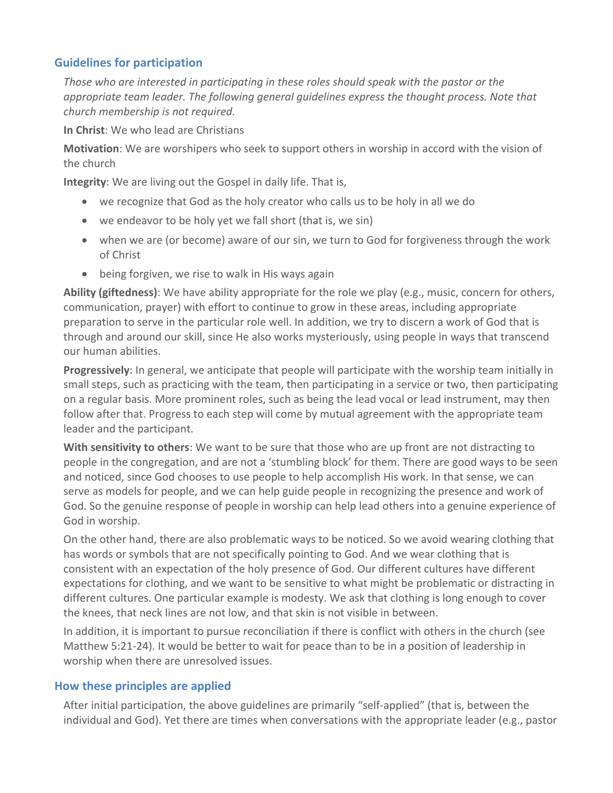#### **Guidelines for participation**

*Those who are interested in participating in these roles should speak with the pastor or the appropriate team leader. The following general guidelines express the thought process. Note that church membership is not required.* 

**In Christ**: We who lead are Christians

**Motivation**: We are worshipers who seek to support others in worship in accord with the vision of the church

**Integrity**: We are living out the Gospel in daily life. That is,

- we recognize that God as the holy creator who calls us to be holy in all we do
- we endeavor to be holy yet we fall short (that is, we sin)
- when we are (or become) aware of our sin, we turn to God for forgiveness through the work of Christ
- being forgiven, we rise to walk in His ways again

**Ability (giftedness)**: We have ability appropriate for the role we play (e.g., music, concern for others, communication, prayer) with effort to continue to grow in these areas, including appropriate preparation to serve in the particular role well. In addition, we try to discern a work of God that is through and around our skill, since He also works mysteriously, using people in ways that transcend our human abilities.

**Progressively**: In general, we anticipate that people will participate with the worship team initially in small steps, such as practicing with the team, then participating in a service or two, then participating on a regular basis. More prominent roles, such as being the lead vocal or lead instrument, may then follow after that. Progress to each step will come by mutual agreement with the appropriate team leader and the participant.

**With sensitivity to others**: We want to be sure that those who are up front are not distracting to people in the congregation, and are not a 'stumbling block' for them. There are good ways to be seen and noticed, since God chooses to use people to help accomplish His work. In that sense, we can serve as models for people, and we can help guide people in recognizing the presence and work of God. So the genuine response of people in worship can help lead others into a genuine experience of God in worship.

On the other hand, there are also problematic ways to be noticed. So we avoid wearing clothing that has words or symbols that are not specifically pointing to God. And we wear clothing that is consistent with an expectation of the holy presence of God. Our different cultures have different expectations for clothing, and we want to be sensitive to what might be problematic or distracting in different cultures. One particular example is modesty. We ask that clothing is long enough to cover the knees, that neck lines are not low, and that skin is not visible in between.

In addition, it is important to pursue reconciliation if there is conflict with others in the church (see Matthew 5:21-24). It would be better to wait for peace than to be in a position of leadership in worship when there are unresolved issues.

#### **How these principles are applied**

After initial participation, the above guidelines are primarily "self-applied" (that is, between the individual and God). Yet there are times when conversations with the appropriate leader (e.g., pastor